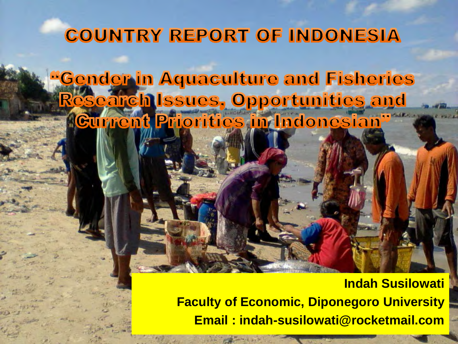## **COUNTRY REPORT OF INDONESIA**

<u>**"Gender in Aquaculture and Fisheries**</u> **Research Issues, Opportunities and Current Priorities in Indonesian<sup>17</sup>** 

> **Indah Susilowati Faculty of Economic, Diponegoro University Email : indah-susilowati@rocketmail.com**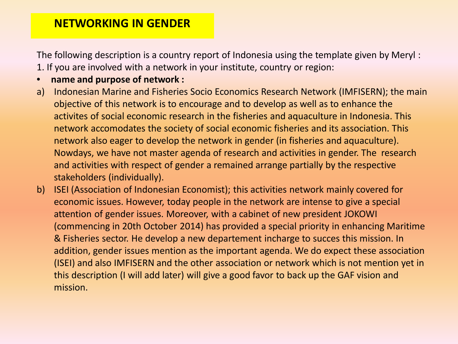### **NETWORKING IN GENDER**

The following description is a country report of Indonesia using the template given by Meryl :

- 1. If you are involved with a network in your institute, country or region:
- **name and purpose of network :**
- a) Indonesian Marine and Fisheries Socio Economics Research Network (IMFISERN); the main objective of this network is to encourage and to develop as well as to enhance the activites of social economic research in the fisheries and aquaculture in Indonesia. This network accomodates the society of social economic fisheries and its association. This network also eager to develop the network in gender (in fisheries and aquaculture). Nowdays, we have not master agenda of research and activities in gender. The research and activities with respect of gender a remained arrange partially by the respective stakeholders (individually).
- b) ISEI (Association of Indonesian Economist); this activities network mainly covered for economic issues. However, today people in the network are intense to give a special attention of gender issues. Moreover, with a cabinet of new president JOKOWI (commencing in 20th October 2014) has provided a special priority in enhancing Maritime & Fisheries sector. He develop a new departement incharge to succes this mission. In addition, gender issues mention as the important agenda. We do expect these association (ISEI) and also IMFISERN and the other association or network which is not mention yet in this description (I will add later) will give a good favor to back up the GAF vision and mission.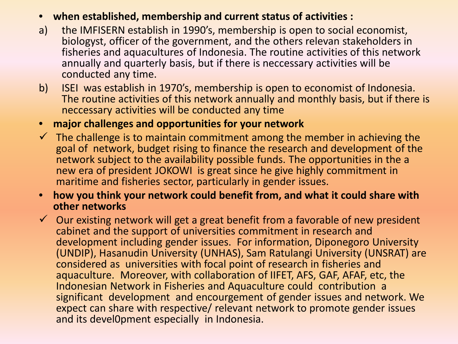### • **when established, membership and current status of activities :**

- a) the IMFISERN establish in 1990's, membership is open to social economist, biologyst, officer of the government, and the others relevan stakeholders in fisheries and aquacultures of Indonesia. The routine activities of this network annually and quarterly basis, but if there is neccessary activities will be conducted any time.
- b) ISEI was establish in 1970's, membership is open to economist of Indonesia. The routine activities of this network annually and monthly basis, but if there is neccessary activities will be conducted any time

#### • **major challenges and opportunities for your network**

- $\checkmark$  The challenge is to maintain commitment among the member in achieving the goal of network, budget rising to finance the research and development of the network subject to the availability possible funds. The opportunities in the a new era of president JOKOWI is great since he give highly commitment in maritime and fisheries sector, particularly in gender issues.
- **how you think your network could benefit from, and what it could share with other networks**
- $\checkmark$  Our existing network will get a great benefit from a favorable of new president cabinet and the support of universities commitment in research and development including gender issues. For information, Diponegoro University (UNDIP), Hasanudin University (UNHAS), Sam Ratulangi University (UNSRAT) are considered as universities with focal point of research in fisheries and aquaculture. Moreover, with collaboration of IIFET, AFS, GAF, AFAF, etc, the Indonesian Network in Fisheries and Aquaculture could contribution a significant development and encourgement of gender issues and network. We expect can share with respective/ relevant network to promote gender issues and its devel0pment especially in Indonesia.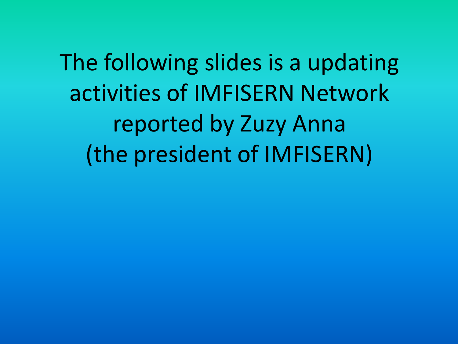The following slides is a updating activities of IMFISERN Network reported by Zuzy Anna (the president of IMFISERN)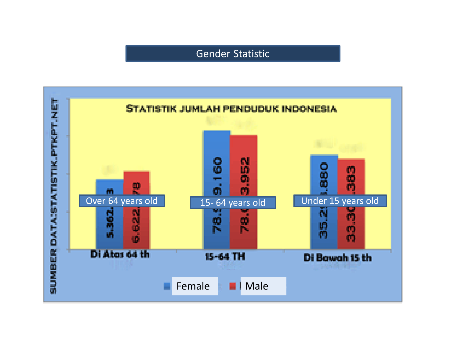### Gender Statistic

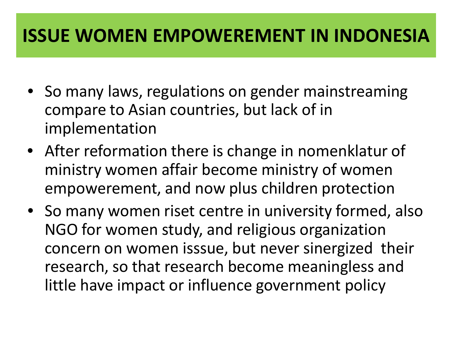## **ISSUE WOMEN EMPOWEREMENT IN INDONESIA**

- So many laws, regulations on gender mainstreaming compare to Asian countries, but lack of in implementation
- After reformation there is change in nomenklatur of ministry women affair become ministry of women empowerement, and now plus children protection
- So many women riset centre in university formed, also NGO for women study, and religious organization concern on women isssue, but never sinergized their research, so that research become meaningless and little have impact or influence government policy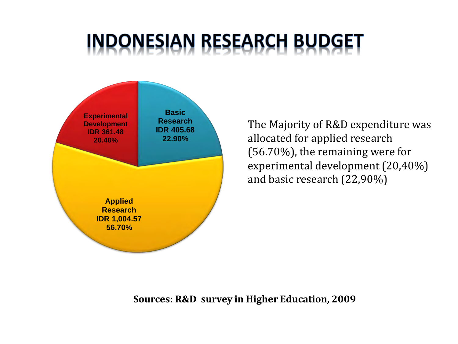# **INDONESIAN RESEARCH BUDGET**



The Majority of R&D expenditure was allocated for applied research (56.70%), the remaining were for experimental development (20,40%) and basic research (22,90%)

**Sources: R&D survey in Higher Education, 2009**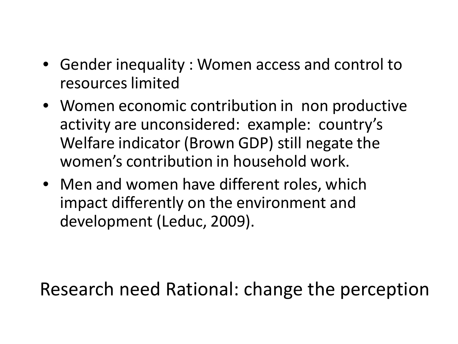- Gender inequality : Women access and control to resources limited
- Women economic contribution in non productive activity are unconsidered: example: country's Welfare indicator (Brown GDP) still negate the women's contribution in household work.
- Men and women have different roles, which impact differently on the environment and development (Leduc, 2009).

# Research need Rational: change the perception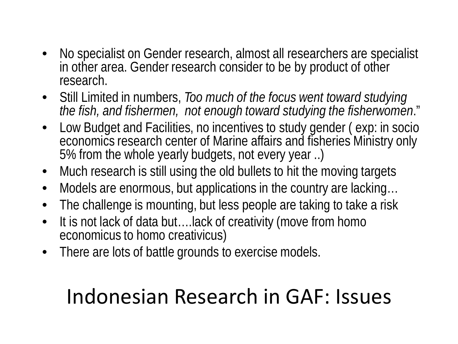- No specialist on Gender research, almost all researchers are specialist in other area. Gender research consider to be by product of other research.
- Still Limited in numbers, *Too much of the focus went toward studying the fish, and fishermen, not enough toward studying the fisherwomen*."
- Low Budget and Facilities, no incentives to study gender ( exp: in socio economics research center of Marine affairs and fisheries Ministry only 5% from the whole yearly budgets, not every year ..)
- Much research is still using the old bullets to hit the moving targets
- Models are enormous, but applications in the country are lacking…
- The challenge is mounting, but less people are taking to take a risk
- It is not lack of data but....lack of creativity (move from homo economicus to homo creativicus)
- There are lots of battle grounds to exercise models.

# Indonesian Research in GAF: Issues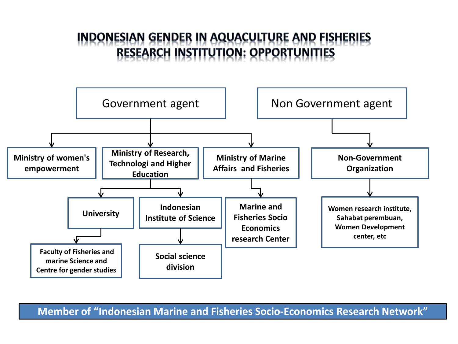### **INDONESIAN GENDER IN AQUACULTURE AND FISHERIES RESEARCH INSTITUTION: OPPORTUNITIES**



**Member of "Indonesian Marine and Fisheries Socio-Economics Research Network"**